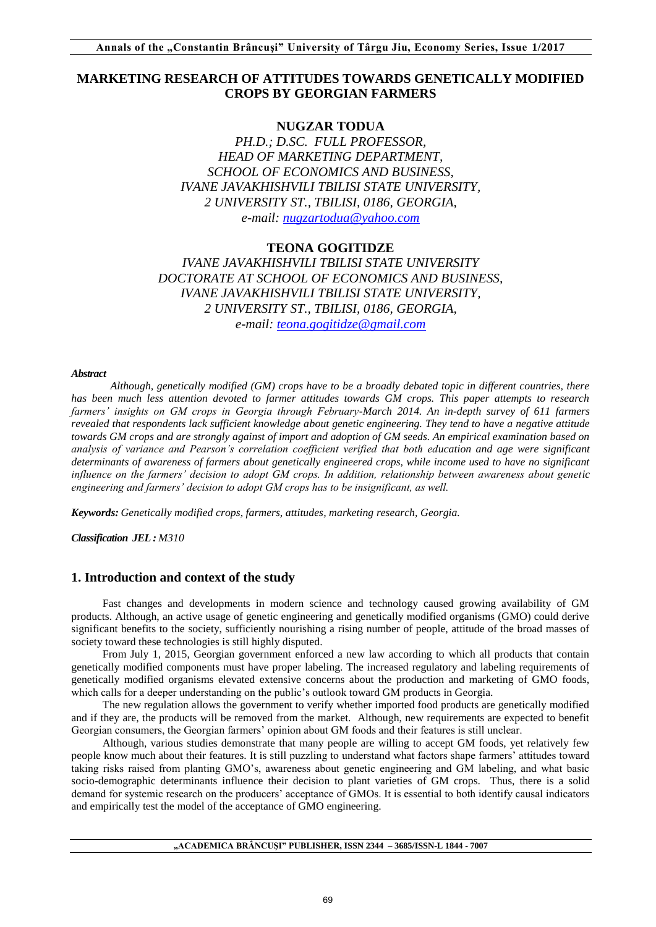# **MARKETING RESEARCH OF ATTITUDES TOWARDS GENETICALLY MODIFIED CROPS BY GEORGIAN FARMERS**

# **NUGZAR TODUA**

*PH.D.; D.SC. FULL PROFESSOR, HEAD OF MARKETING DEPARTMENT, SCHOOL OF ECONOMICS AND BUSINESS, IVANE JAVAKHISHVILI TBILISI STATE UNIVERSITY, 2 UNIVERSITY ST., TBILISI, 0186, GEORGIA, e-mail: [nugzartodua@yahoo.com](mailto:nugzartodua@yahoo.com)*

# **TEONA GOGITIDZE** *IVANE JAVAKHISHVILI TBILISI STATE UNIVERSITY DOCTORATE AT SCHOOL OF ECONOMICS AND BUSINESS, IVANE JAVAKHISHVILI TBILISI STATE UNIVERSITY, 2 UNIVERSITY ST., TBILISI, 0186, GEORGIA,*

*e-mail: [teona.gogitidze@gmail.com](mailto:teona.gogitidze@gmail.com)*

### *Abstract*

*Although, genetically modified (GM) crops have to be a broadly debated topic in different countries, there has been much less attention devoted to farmer attitudes towards GM crops. This paper attempts to research farmers' insights on GM crops in Georgia through February-March 2014. An in-depth survey of 611 farmers revealed that respondents lack sufficient knowledge about genetic engineering. They tend to have a negative attitude towards GM crops and are strongly against of import and adoption of GM seeds. An empirical examination based on analysis of variance and Pearson's correlation coefficient verified that both education and age were significant determinants of awareness of farmers about genetically engineered crops, while income used to have no significant influence on the farmers' decision to adopt GM crops. In addition, relationship between awareness about genetic engineering and farmers' decision to adopt GM crops has to be insignificant, as well.*

*Keywords: Genetically modified crops, farmers, attitudes, marketing research, Georgia.*

*Classification JEL : M310* 

# **1. Introduction and context of the study**

Fast changes and developments in modern science and technology caused growing availability of GM products. Although, an active usage of genetic engineering and genetically modified organisms (GMO) could derive significant benefits to the society, sufficiently nourishing a rising number of people, attitude of the broad masses of society toward these technologies is still highly disputed.

From July 1, 2015, Georgian government enforced a new law according to which all products that contain genetically modified components must have proper labeling. The increased regulatory and labeling requirements of genetically modified organisms elevated extensive concerns about the production and marketing of GMO foods, which calls for a deeper understanding on the public's outlook toward GM products in Georgia.

The new regulation allows the government to verify whether imported food products are genetically modified and if they are, the products will be removed from the market. Although, new requirements are expected to benefit Georgian consumers, the Georgian farmers' opinion about GM foods and their features is still unclear.

Although, various studies demonstrate that many people are willing to accept GM foods, yet relatively few people know much about their features. It is still puzzling to understand what factors shape farmers' attitudes toward taking risks raised from planting GMO's, awareness about genetic engineering and GM labeling, and what basic socio-demographic determinants influence their decision to plant varieties of GM crops. Thus, there is a solid demand for systemic research on the producers' acceptance of GMOs. It is essential to both identify causal indicators and empirically test the model of the acceptance of GMO engineering.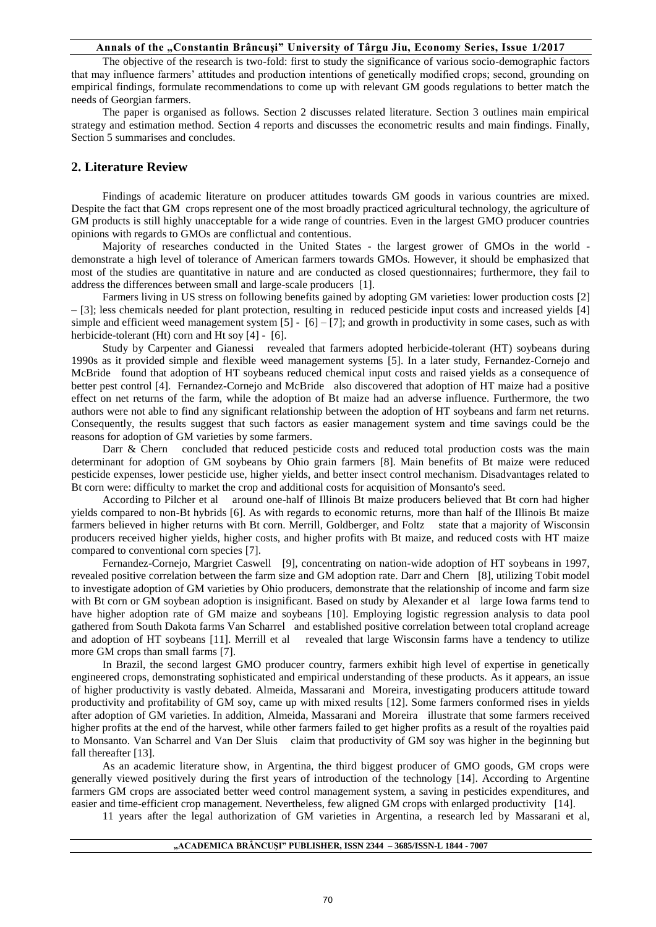The objective of the research is two-fold: first to study the significance of various socio-demographic factors that may influence farmers' attitudes and production intentions of genetically modified crops; second, grounding on empirical findings, formulate recommendations to come up with relevant GM goods regulations to better match the needs of Georgian farmers.

The paper is organised as follows. Section 2 discusses related literature. Section 3 outlines main empirical strategy and estimation method. Section 4 reports and discusses the econometric results and main findings. Finally, Section 5 summarises and concludes.

# **2. Literature Review**

Findings of academic literature on producer attitudes towards GM goods in various countries are mixed. Despite the fact that GM crops represent one of the most broadly practiced agricultural technology, the agriculture of GM products is still highly unacceptable for a wide range of countries. Even in the largest GMO producer countries opinions with regards to GMOs are conflictual and contentious.

Majority of researches conducted in the United States - the largest grower of GMOs in the world demonstrate a high level of tolerance of American farmers towards GMOs. However, it should be emphasized that most of the studies are quantitative in nature and are conducted as closed questionnaires; furthermore, they fail to address the differences between small and large-scale producers [1].

Farmers living in US stress on following benefits gained by adopting GM varieties: lower production costs [2] – [3]; less chemicals needed for plant protection, resulting in reduced pesticide input costs and increased yields [4] simple and efficient weed management system  $[5] - [6] - [7]$ ; and growth in productivity in some cases, such as with herbicide-tolerant (Ht) corn and Ht soy [4] - [6].

Study by Carpenter and Gianessi revealed that farmers adopted herbicide-tolerant (HT) soybeans during 1990s as it provided simple and flexible weed management systems [5]. In a later study, Fernandez-Cornejo and McBride found that adoption of HT soybeans reduced chemical input costs and raised yields as a consequence of better pest control [4]. Fernandez-Cornejo and McBride also discovered that adoption of HT maize had a positive effect on net returns of the farm, while the adoption of Bt maize had an adverse influence. Furthermore, the two authors were not able to find any significant relationship between the adoption of HT soybeans and farm net returns. Consequently, the results suggest that such factors as easier management system and time savings could be the reasons for adoption of GM varieties by some farmers.

Darr & Chern concluded that reduced pesticide costs and reduced total production costs was the main determinant for adoption of GM soybeans by Ohio grain farmers [8]. Main benefits of Bt maize were reduced pesticide expenses, lower pesticide use, higher yields, and better insect control mechanism. Disadvantages related to Bt corn were: difficulty to market the crop and additional costs for acquisition of Monsanto's seed.

According to Pilcher et al around one-half of Illinois Bt maize producers believed that Bt corn had higher yields compared to non-Bt hybrids [6]. As with regards to economic returns, more than half of the Illinois Bt maize farmers believed in higher returns with Bt corn. Merrill, Goldberger, and Foltz state that a majority of Wisconsin producers received higher yields, higher costs, and higher profits with Bt maize, and reduced costs with HT maize compared to conventional corn species [7].

Fernandez-Cornejo, Margriet Caswell [9], concentrating on nation-wide adoption of HT soybeans in 1997, revealed positive correlation between the farm size and GM adoption rate. Darr and Chern [8], utilizing Tobit model to investigate adoption of GM varieties by Ohio producers, demonstrate that the relationship of income and farm size with Bt corn or GM soybean adoption is insignificant. Based on study by Alexander et al large Iowa farms tend to have higher adoption rate of GM maize and soybeans [10]. Employing logistic regression analysis to data pool gathered from South Dakota farms Van Scharrel and established positive correlation between total cropland acreage and adoption of HT soybeans [11]. Merrill et al revealed that large Wisconsin farms have a tendency to utilize more GM crops than small farms [7].

In Brazil, the second largest GMO producer country, farmers exhibit high level of expertise in genetically engineered crops, demonstrating sophisticated and empirical understanding of these products. As it appears, an issue of higher productivity is vastly debated. Almeida, Massarani and Moreira, investigating producers attitude toward productivity and profitability of GM soy, came up with mixed results [12]. Some farmers conformed rises in yields after adoption of GM varieties. In addition, Almeida, Massarani and Moreira illustrate that some farmers received higher profits at the end of the harvest, while other farmers failed to get higher profits as a result of the royalties paid to Monsanto. Van Scharrel and Van Der Sluis claim that productivity of GM soy was higher in the beginning but fall thereafter [13].

As an academic literature show, in Argentina, the third biggest producer of GMO goods, GM crops were generally viewed positively during the first years of introduction of the technology [14]. According to Argentine farmers GM crops are associated better weed control management system, a saving in pesticides expenditures, and easier and time-efficient crop management. Nevertheless, few aligned GM crops with enlarged productivity [14].

11 years after the legal authorization of GM varieties in Argentina, a research led by Massarani et al,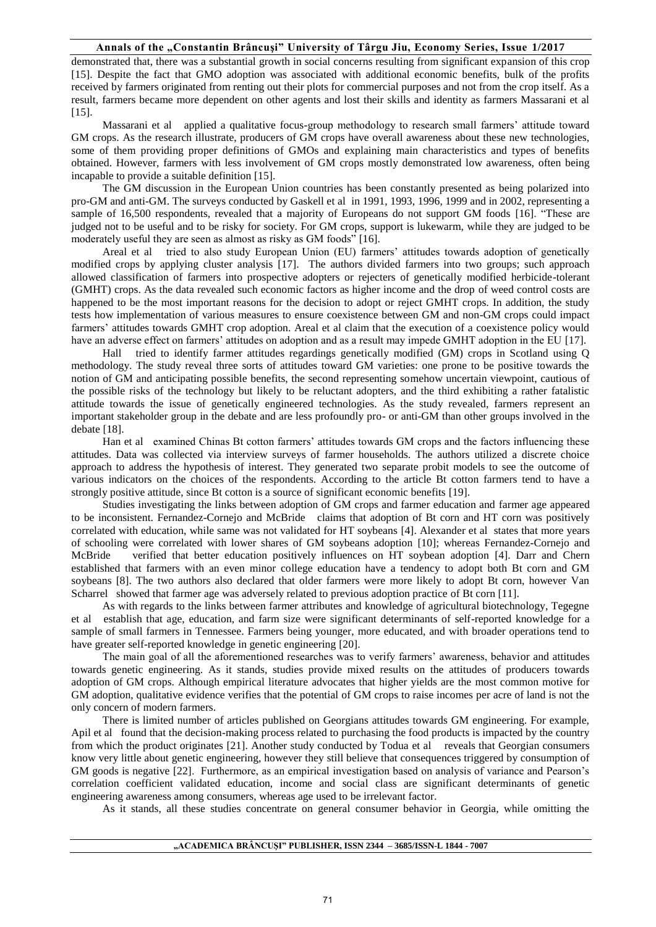demonstrated that, there was a substantial growth in social concerns resulting from significant expansion of this crop [15]. Despite the fact that GMO adoption was associated with additional economic benefits, bulk of the profits received by farmers originated from renting out their plots for commercial purposes and not from the crop itself. As a result, farmers became more dependent on other agents and lost their skills and identity as farmers Massarani et al [15].

Massarani et al applied a qualitative focus-group methodology to research small farmers' attitude toward GM crops. As the research illustrate, producers of GM crops have overall awareness about these new technologies, some of them providing proper definitions of GMOs and explaining main characteristics and types of benefits obtained. However, farmers with less involvement of GM crops mostly demonstrated low awareness, often being incapable to provide a suitable definition [15].

The GM discussion in the European Union countries has been constantly presented as being polarized into pro-GM and anti-GM. The surveys conducted by Gaskell et al in 1991, 1993, 1996, 1999 and in 2002, representing a sample of 16,500 respondents, revealed that a majority of Europeans do not support GM foods [16]. "These are judged not to be useful and to be risky for society. For GM crops, support is lukewarm, while they are judged to be moderately useful they are seen as almost as risky as GM foods" [16].

Areal et al tried to also study European Union (EU) farmers' attitudes towards adoption of genetically modified crops by applying cluster analysis [17]. The authors divided farmers into two groups; such approach allowed classification of farmers into prospective adopters or rejecters of genetically modified herbicide-tolerant (GMHT) crops. As the data revealed such economic factors as higher income and the drop of weed control costs are happened to be the most important reasons for the decision to adopt or reject GMHT crops. In addition, the study tests how implementation of various measures to ensure coexistence between GM and non-GM crops could impact farmers' attitudes towards GMHT crop adoption. Areal et al claim that the execution of a coexistence policy would have an adverse effect on farmers' attitudes on adoption and as a result may impede GMHT adoption in the EU [17].

Hall tried to identify farmer attitudes regardings genetically modified (GM) crops in Scotland using Q methodology. The study reveal three sorts of attitudes toward GM varieties: one prone to be positive towards the notion of GM and anticipating possible benefits, the second representing somehow uncertain viewpoint, cautious of the possible risks of the technology but likely to be reluctant adopters, and the third exhibiting a rather fatalistic attitude towards the issue of genetically engineered technologies. As the study revealed, farmers represent an important stakeholder group in the debate and are less profoundly pro- or anti-GM than other groups involved in the debate [18].

Han et al examined Chinas Bt cotton farmers' attitudes towards GM crops and the factors influencing these attitudes. Data was collected via interview surveys of farmer households. The authors utilized a discrete choice approach to address the hypothesis of interest. They generated two separate probit models to see the outcome of various indicators on the choices of the respondents. According to the article Bt cotton farmers tend to have a strongly positive attitude, since Bt cotton is a source of significant economic benefits [19].

Studies investigating the links between adoption of GM crops and farmer education and farmer age appeared to be inconsistent. Fernandez-Cornejo and McBride claims that adoption of Bt corn and HT corn was positively correlated with education, while same was not validated for HT soybeans [4]. Alexander et al states that more years of schooling were correlated with lower shares of GM soybeans adoption [10]; whereas Fernandez-Cornejo and McBride verified that better education positively influences on HT soybean adoption [4]. Darr and Chern established that farmers with an even minor college education have a tendency to adopt both Bt corn and GM soybeans [8]. The two authors also declared that older farmers were more likely to adopt Bt corn, however Van Scharrel showed that farmer age was adversely related to previous adoption practice of Bt corn [11].

As with regards to the links between farmer attributes and knowledge of agricultural biotechnology, Tegegne et al establish that age, education, and farm size were significant determinants of self-reported knowledge for a sample of small farmers in Tennessee. Farmers being younger, more educated, and with broader operations tend to have greater self-reported knowledge in genetic engineering [20].

The main goal of all the aforementioned researches was to verify farmers' awareness, behavior and attitudes towards genetic engineering. As it stands, studies provide mixed results on the attitudes of producers towards adoption of GM crops. Although empirical literature advocates that higher yields are the most common motive for GM adoption, qualitative evidence verifies that the potential of GM crops to raise incomes per acre of land is not the only concern of modern farmers.

There is limited number of articles published on Georgians attitudes towards GM engineering. For example, Apil et al found that the decision-making process related to purchasing the food products is impacted by the country from which the product originates [21]. Another study conducted by Todua et al reveals that Georgian consumers know very little about genetic engineering, however they still believe that consequences triggered by consumption of GM goods is negative [22]. Furthermore, as an empirical investigation based on analysis of variance and Pearson's correlation coefficient validated education, income and social class are significant determinants of genetic engineering awareness among consumers, whereas age used to be irrelevant factor.

As it stands, all these studies concentrate on general consumer behavior in Georgia, while omitting the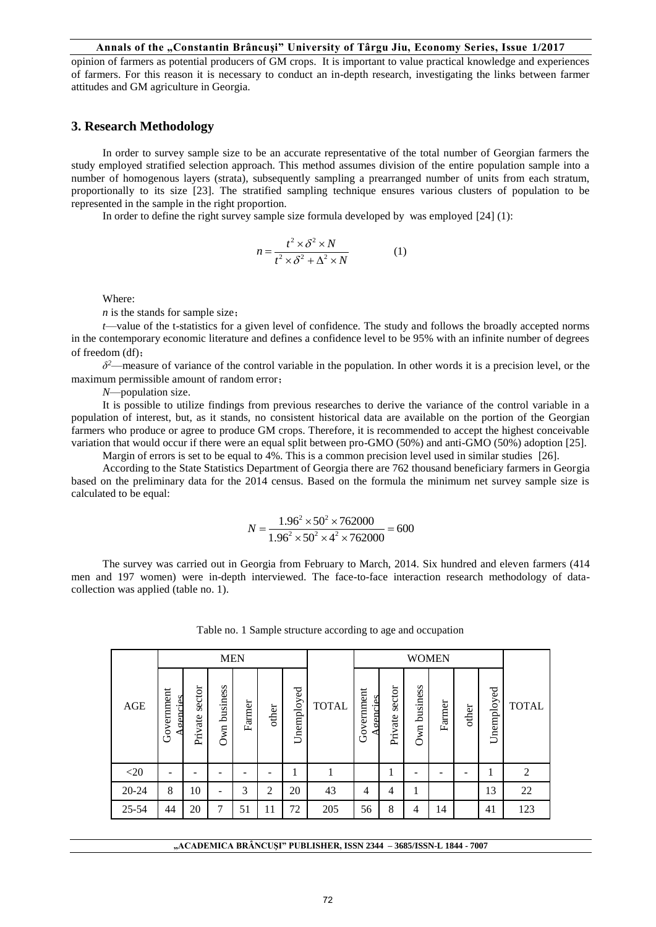opinion of farmers as potential producers of GM crops. It is important to value practical knowledge and experiences of farmers. For this reason it is necessary to conduct an in-depth research, investigating the links between farmer attitudes and GM agriculture in Georgia.

# **3. Research Methodology**

In order to survey sample size to be an accurate representative of the total number of Georgian farmers the study employed stratified selection approach. This method assumes division of the entire population sample into a number of homogenous layers (strata), subsequently sampling a prearranged number of units from each stratum, proportionally to its size [23]. The stratified sampling technique ensures various clusters of population to be represented in the sample in the right proportion.

In order to define the right survey sample size formula developed by was employed [24] (1):

$$
n = \frac{t^2 \times \delta^2 \times N}{t^2 \times \delta^2 + \Delta^2 \times N}
$$
 (1)

Where:

*n* is the stands for sample size:

*t*—value of the t-statistics for a given level of confidence. The study and follows the broadly accepted norms in the contemporary economic literature and defines a confidence level to be 95% with an infinite number of degrees of freedom (df);

*δ <sup>2</sup>*—measure of variance of the control variable in the population. In other words it is a precision level, or the maximum permissible amount of random error;

*N*—population size.

It is possible to utilize findings from previous researches to derive the variance of the control variable in a population of interest, but, as it stands, no consistent historical data are available on the portion of the Georgian farmers who produce or agree to produce GM crops. Therefore, it is recommended to accept the highest conceivable variation that would occur if there were an equal split between pro-GMO (50%) and anti-GMO (50%) adoption [25]. Margin of errors is set to be equal to 4%. This is a common precision level used in similar studies [26].

According to the State Statistics Department of Georgia there are 762 thousand beneficiary farmers in Georgia based on the preliminary data for the 2014 census. Based on the formula the minimum net survey sample size is calculated to be equal:

$$
N = \frac{1.96^2 \times 50^2 \times 762000}{1.96^2 \times 50^2 \times 4^2 \times 762000} = 600
$$

The survey was carried out in Georgia from February to March, 2014. Six hundred and eleven farmers (414 men and 197 women) were in-depth interviewed. The face-to-face interaction research methodology of datacollection was applied (table no. 1).

|           |                                | <b>MEN</b>        |                 |        |       |            |              | <b>WOMEN</b>          |                   |                 |        |       |            |              |
|-----------|--------------------------------|-------------------|-----------------|--------|-------|------------|--------------|-----------------------|-------------------|-----------------|--------|-------|------------|--------------|
| AGE       | Government<br><u>A cencies</u> | sector<br>Private | business<br>Own | Farmer | other | Unemployed | <b>TOTAL</b> | Government<br>gencies | sector<br>Private | business<br>Own | Farmer | other | Unemployed | <b>TOTAL</b> |
| $<$ 20    | $\qquad \qquad \blacksquare$   |                   |                 | -      |       |            |              |                       |                   | -               | -      |       |            | 2            |
| $20 - 24$ | 8                              | 10                | -               | 3      | 2     | 20         | 43           | $\overline{4}$        | 4                 | 1               |        |       | 13         | 22           |
| 25-54     | 44                             | 20                | 7               | 51     | 11    | 72         | 205          | 56                    | 8                 | 4               | 14     |       | 41         | 123          |

|  | Table no. 1 Sample structure according to age and occupation |  |  |  |
|--|--------------------------------------------------------------|--|--|--|
|  |                                                              |  |  |  |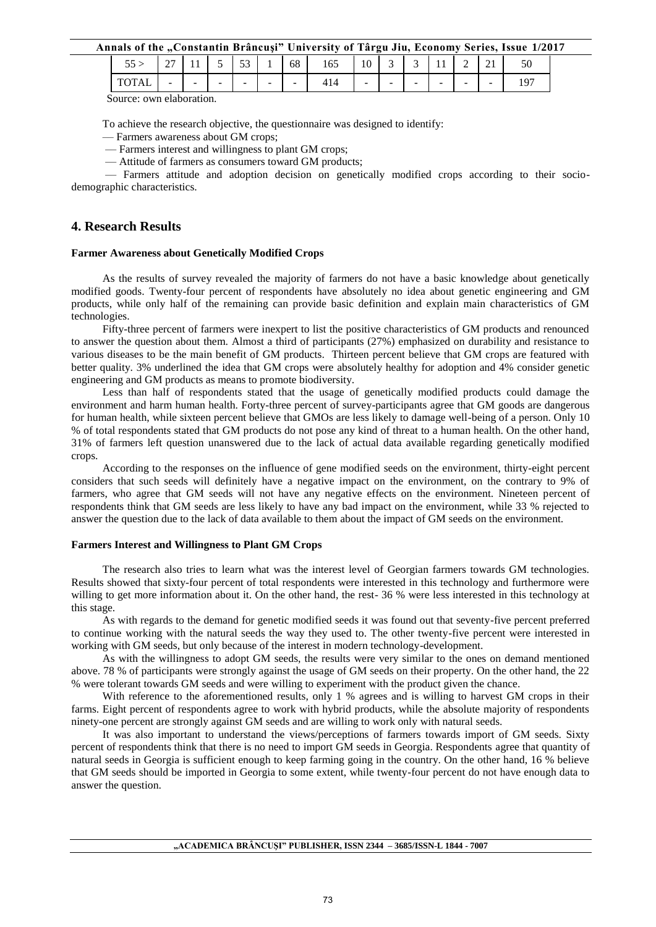| Annals of the "Constantin Brâncuși" University of Târgu Jiu, Economy Series, Issue 1/2017 |  |  |  |  |  |  |  |  |  |
|-------------------------------------------------------------------------------------------|--|--|--|--|--|--|--|--|--|
|                                                                                           |  |  |  |  |  |  |  |  |  |

|       | $\sim$<br>$\sim$ 1       | . . | $\overline{\phantom{0}}$<br>- - | $\sim$<br>ັບ |        | 68                       | $\sim$ $\sim$<br>165 | $\Omega$<br>10 | ⌒<br>້                   | ້      | . .    | -<br>−                   | $\sim$ 1 | ◡◡ |
|-------|--------------------------|-----|---------------------------------|--------------|--------|--------------------------|----------------------|----------------|--------------------------|--------|--------|--------------------------|----------|----|
| 10.DE | $\overline{\phantom{a}}$ | -   | $\sim$                          | -            | $\sim$ | $\overline{\phantom{a}}$ | ᆠᅟᅩ                  | $\sim$<br>-    | $\overline{\phantom{a}}$ | $\sim$ | $\sim$ | $\overline{\phantom{a}}$ | $\sim$   |    |

Source: own elaboration.

To achieve the research objective, the questionnaire was designed to identify:

- –– Farmers awareness about GM crops;
- –– Farmers interest and willingness to plant GM crops;
- –– Attitude of farmers as consumers toward GM products;

–– Farmers attitude and adoption decision on genetically modified crops according to their sociodemographic characteristics.

# **4. Research Results**

### **Farmer Awareness about Genetically Modified Crops**

As the results of survey revealed the majority of farmers do not have a basic knowledge about genetically modified goods. Twenty-four percent of respondents have absolutely no idea about genetic engineering and GM products, while only half of the remaining can provide basic definition and explain main characteristics of GM technologies.

Fifty-three percent of farmers were inexpert to list the positive characteristics of GM products and renounced to answer the question about them. Almost a third of participants (27%) emphasized on durability and resistance to various diseases to be the main benefit of GM products. Thirteen percent believe that GM crops are featured with better quality. 3% underlined the idea that GM crops were absolutely healthy for adoption and 4% consider genetic engineering and GM products as means to promote biodiversity.

Less than half of respondents stated that the usage of genetically modified products could damage the environment and harm human health. Forty-three percent of survey-participants agree that GM goods are dangerous for human health, while sixteen percent believe that GMOs are less likely to damage well-being of a person. Only 10 % of total respondents stated that GM products do not pose any kind of threat to a human health. On the other hand, 31% of farmers left question unanswered due to the lack of actual data available regarding genetically modified crops.

According to the responses on the influence of gene modified seeds on the environment, thirty-eight percent considers that such seeds will definitely have a negative impact on the environment, on the contrary to 9% of farmers, who agree that GM seeds will not have any negative effects on the environment. Nineteen percent of respondents think that GM seeds are less likely to have any bad impact on the environment, while 33 % rejected to answer the question due to the lack of data available to them about the impact of GM seeds on the environment.

#### **Farmers Interest and Willingness to Plant GM Crops**

The research also tries to learn what was the interest level of Georgian farmers towards GM technologies. Results showed that sixty-four percent of total respondents were interested in this technology and furthermore were willing to get more information about it. On the other hand, the rest- 36 % were less interested in this technology at this stage.

As with regards to the demand for genetic modified seeds it was found out that seventy-five percent preferred to continue working with the natural seeds the way they used to. The other twenty-five percent were interested in working with GM seeds, but only because of the interest in modern technology-development.

As with the willingness to adopt GM seeds, the results were very similar to the ones on demand mentioned above. 78 % of participants were strongly against the usage of GM seeds on their property. On the other hand, the 22 % were tolerant towards GM seeds and were willing to experiment with the product given the chance.

With reference to the aforementioned results, only 1 % agrees and is willing to harvest GM crops in their farms. Eight percent of respondents agree to work with hybrid products, while the absolute majority of respondents ninety-one percent are strongly against GM seeds and are willing to work only with natural seeds.

It was also important to understand the views/perceptions of farmers towards import of GM seeds. Sixty percent of respondents think that there is no need to import GM seeds in Georgia. Respondents agree that quantity of natural seeds in Georgia is sufficient enough to keep farming going in the country. On the other hand, 16 % believe that GM seeds should be imported in Georgia to some extent, while twenty-four percent do not have enough data to answer the question.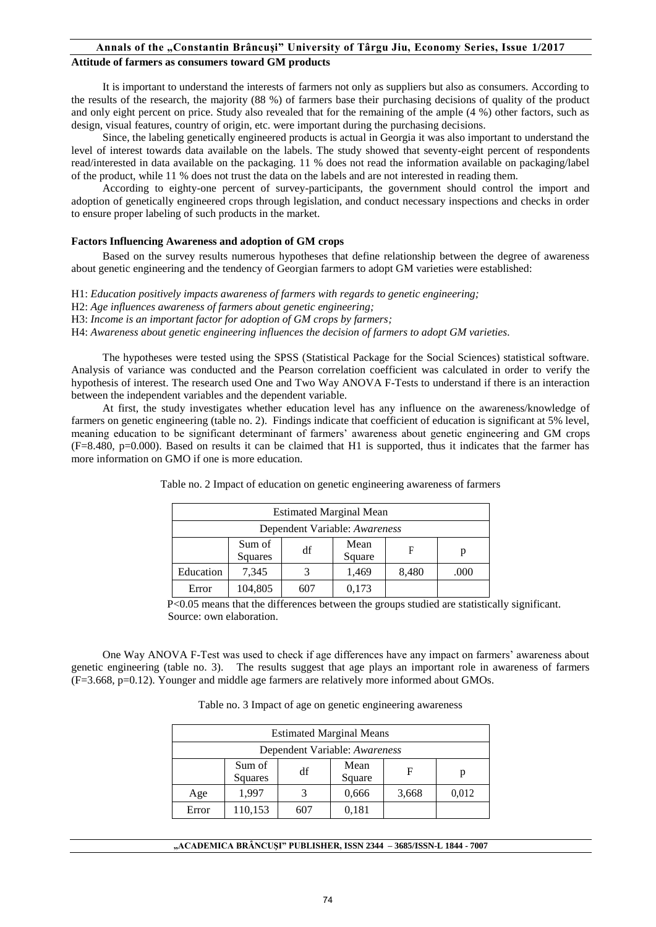#### **Attitude of farmers as consumers toward GM products**

It is important to understand the interests of farmers not only as suppliers but also as consumers. According to the results of the research, the majority (88 %) of farmers base their purchasing decisions of quality of the product and only eight percent on price. Study also revealed that for the remaining of the ample (4 %) other factors, such as design, visual features, country of origin, etc. were important during the purchasing decisions.

Since, the labeling genetically engineered products is actual in Georgia it was also important to understand the level of interest towards data available on the labels. The study showed that seventy-eight percent of respondents read/interested in data available on the packaging. 11 % does not read the information available on packaging/label of the product, while 11 % does not trust the data on the labels and are not interested in reading them.

According to eighty-one percent of survey-participants, the government should control the import and adoption of genetically engineered crops through legislation, and conduct necessary inspections and checks in order to ensure proper labeling of such products in the market.

### **Factors Influencing Awareness and adoption of GM crops**

Based on the survey results numerous hypotheses that define relationship between the degree of awareness about genetic engineering and the tendency of Georgian farmers to adopt GM varieties were established:

H1: *Education positively impacts awareness of farmers with regards to genetic engineering;*

H2: *Age influences awareness of farmers about genetic engineering;* 

H3: *Income is an important factor for adoption of GM crops by farmers;* 

H4: *Awareness about genetic engineering influences the decision of farmers to adopt GM varieties.*

The hypotheses were tested using the SPSS (Statistical Package for the Social Sciences) statistical software. Analysis of variance was conducted and the Pearson correlation coefficient was calculated in order to verify the hypothesis of interest. The research used One and Two Way ANOVA F-Tests to understand if there is an interaction between the independent variables and the dependent variable.

At first, the study investigates whether education level has any influence on the awareness/knowledge of farmers on genetic engineering (table no. 2). Findings indicate that coefficient of education is significant at 5% level, meaning education to be significant determinant of farmers' awareness about genetic engineering and GM crops (F=8.480, p=0.000). Based on results it can be claimed that H1 is supported, thus it indicates that the farmer has more information on GMO if one is more education.

| <b>Estimated Marginal Mean</b>                      |       |  |       |       |      |  |  |  |  |  |  |
|-----------------------------------------------------|-------|--|-------|-------|------|--|--|--|--|--|--|
| Dependent Variable: Awareness                       |       |  |       |       |      |  |  |  |  |  |  |
| Sum of<br>Mean<br>df<br>F<br>p<br>Squares<br>Square |       |  |       |       |      |  |  |  |  |  |  |
| Education                                           | 7,345 |  | 1,469 | 8,480 | .000 |  |  |  |  |  |  |
| 0,173<br>104,805<br>Error<br>607                    |       |  |       |       |      |  |  |  |  |  |  |

Table no. 2 Impact of education on genetic engineering awareness of farmers

 P<0.05 means that the differences between the groups studied are statistically significant. Source: own elaboration.

One Way ANOVA F-Test was used to check if age differences have any impact on farmers' awareness about genetic engineering (table no. 3). The results suggest that age plays an important role in awareness of farmers (F=3.668, p=0.12). Younger and middle age farmers are relatively more informed about GMOs.

Table no. 3 Impact of age on genetic engineering awareness

| <b>Estimated Marginal Means</b> |         |     |       |       |       |  |  |  |  |  |  |
|---------------------------------|---------|-----|-------|-------|-------|--|--|--|--|--|--|
| Dependent Variable: Awareness   |         |     |       |       |       |  |  |  |  |  |  |
|                                 | F       | р   |       |       |       |  |  |  |  |  |  |
| Age                             | 1,997   |     | 0,666 | 3,668 | 0,012 |  |  |  |  |  |  |
| Error                           | 110,153 | 607 | 0,181 |       |       |  |  |  |  |  |  |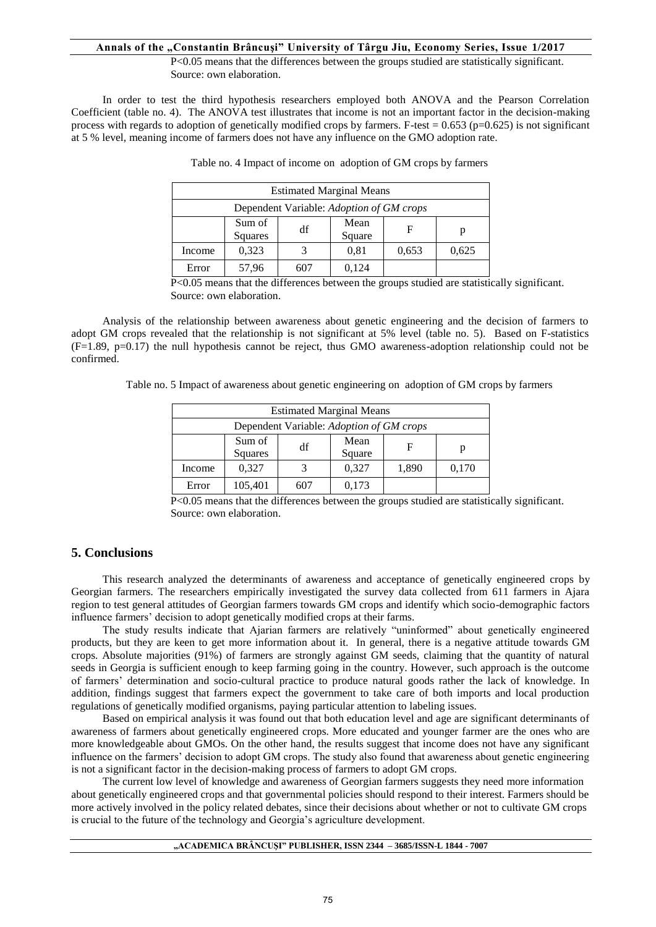P<0.05 means that the differences between the groups studied are statistically significant. Source: own elaboration.

In order to test the third hypothesis researchers employed both ANOVA and the Pearson Correlation Coefficient (table no. 4). The ANOVA test illustrates that income is not an important factor in the decision-making process with regards to adoption of genetically modified crops by farmers. F-test  $= 0.653$  (p=0.625) is not significant at 5 % level, meaning income of farmers does not have any influence on the GMO adoption rate.

| <b>Estimated Marginal Means</b>                     |       |     |       |       |       |  |  |  |  |  |  |
|-----------------------------------------------------|-------|-----|-------|-------|-------|--|--|--|--|--|--|
| Dependent Variable: Adoption of GM crops            |       |     |       |       |       |  |  |  |  |  |  |
| Sum of<br>Mean<br>df<br>F<br>p<br>Squares<br>Square |       |     |       |       |       |  |  |  |  |  |  |
| Income                                              | 0,323 |     | 0.81  | 0,653 | 0,625 |  |  |  |  |  |  |
| Error                                               | 57,96 | 607 | 0,124 |       |       |  |  |  |  |  |  |

Table no. 4 Impact of income on adoption of GM crops by farmers

 P<0.05 means that the differences between the groups studied are statistically significant. Source: own elaboration.

Analysis of the relationship between awareness about genetic engineering and the decision of farmers to adopt GM crops revealed that the relationship is not significant at 5% level (table no. 5). Based on F-statistics  $(F=1.89, p=0.17)$  the null hypothesis cannot be reject, thus GMO awareness-adoption relationship could not be confirmed.

Table no. 5 Impact of awareness about genetic engineering on adoption of GM crops by farmers

| <b>Estimated Marginal Means</b>                            |         |     |       |       |       |  |  |  |  |  |  |
|------------------------------------------------------------|---------|-----|-------|-------|-------|--|--|--|--|--|--|
| Dependent Variable: Adoption of GM crops                   |         |     |       |       |       |  |  |  |  |  |  |
| Sum of<br>Mean<br>df<br>F<br>р<br><b>Squares</b><br>Square |         |     |       |       |       |  |  |  |  |  |  |
| Income                                                     | 0,327   |     | 0,327 | 1,890 | 0,170 |  |  |  |  |  |  |
| Error                                                      | 105,401 | 607 | 0,173 |       |       |  |  |  |  |  |  |

 P<0.05 means that the differences between the groups studied are statistically significant. Source: own elaboration.

# **5. Conclusions**

This research analyzed the determinants of awareness and acceptance of genetically engineered crops by Georgian farmers. The researchers empirically investigated the survey data collected from 611 farmers in Ajara region to test general attitudes of Georgian farmers towards GM crops and identify which socio-demographic factors influence farmers' decision to adopt genetically modified crops at their farms.

The study results indicate that Ajarian farmers are relatively "uninformed" about genetically engineered products, but they are keen to get more information about it. In general, there is a negative attitude towards GM crops. Absolute majorities (91%) of farmers are strongly against GM seeds, claiming that the quantity of natural seeds in Georgia is sufficient enough to keep farming going in the country. However, such approach is the outcome of farmers' determination and socio-cultural practice to produce natural goods rather the lack of knowledge. In addition, findings suggest that farmers expect the government to take care of both imports and local production regulations of genetically modified organisms, paying particular attention to labeling issues.

Based on empirical analysis it was found out that both education level and age are significant determinants of awareness of farmers about genetically engineered crops. More educated and younger farmer are the ones who are more knowledgeable about GMOs. On the other hand, the results suggest that income does not have any significant influence on the farmers' decision to adopt GM crops. The study also found that awareness about genetic engineering is not a significant factor in the decision-making process of farmers to adopt GM crops.

The current low level of knowledge and awareness of Georgian farmers suggests they need more information about genetically engineered crops and that governmental policies should respond to their interest. Farmers should be more actively involved in the policy related debates, since their decisions about whether or not to cultivate GM crops is crucial to the future of the technology and Georgia's agriculture development.